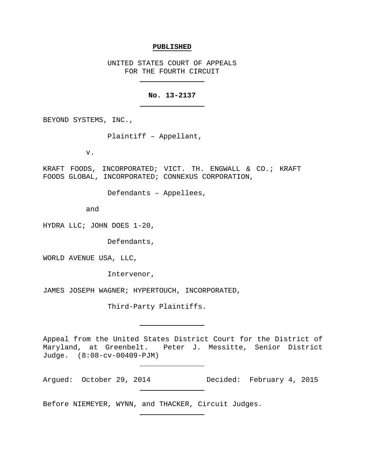#### **PUBLISHED**

UNITED STATES COURT OF APPEALS FOR THE FOURTH CIRCUIT

# **No. 13-2137**

BEYOND SYSTEMS, INC.,

Plaintiff – Appellant,

v.

KRAFT FOODS, INCORPORATED; VICT. TH. ENGWALL & CO.; KRAFT FOODS GLOBAL, INCORPORATED; CONNEXUS CORPORATION,

Defendants – Appellees,

and

HYDRA LLC; JOHN DOES 1-20,

Defendants,

WORLD AVENUE USA, LLC,

Intervenor,

JAMES JOSEPH WAGNER; HYPERTOUCH, INCORPORATED,

Third-Party Plaintiffs.

Appeal from the United States District Court for the District of<br>Maryland, at Greenbelt. Peter J. Messitte, Senior District Peter J. Messitte, Senior District Judge. (8:08-cv-00409-PJM)

Argued: October 29, 2014 Decided: February 4, 2015

Before NIEMEYER, WYNN, and THACKER, Circuit Judges.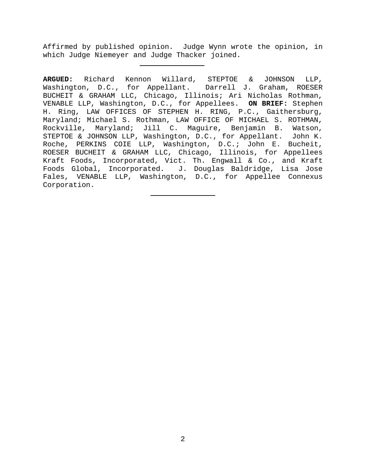Affirmed by published opinion. Judge Wynn wrote the opinion, in which Judge Niemeyer and Judge Thacker joined.

**ARGUED:** Richard Kennon Willard, STEPTOE & JOHNSON LLP, Washington, D.C., for Appellant. Darrell J. Graham, ROESER BUCHEIT & GRAHAM LLC, Chicago, Illinois; Ari Nicholas Rothman, VENABLE LLP, Washington, D.C., for Appellees. **ON BRIEF:** Stephen H. Ring, LAW OFFICES OF STEPHEN H. RING, P.C., Gaithersburg, Maryland; Michael S. Rothman, LAW OFFICE OF MICHAEL S. ROTHMAN, Rockville, Maryland; Jill C. Maguire, Benjamin B. Watson,<br>STEPTOE & JOHNSON LLP, Washington, D.C., for Appellant. John K. STEPTOE & JOHNSON LLP, Washington, D.C., for Appellant. Roche, PERKINS COIE LLP, Washington, D.C.; John E. Bucheit, ROESER BUCHEIT & GRAHAM LLC, Chicago, Illinois, for Appellees Kraft Foods, Incorporated, Vict. Th. Engwall & Co., and Kraft Foods Global, Incorporated. J. Douglas Baldridge, Lisa Jose Fales, VENABLE LLP, Washington, D.C., for Appellee Connexus Corporation.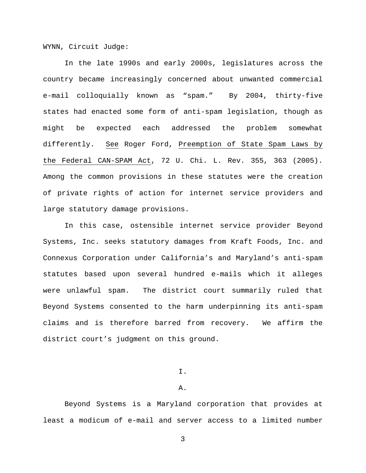WYNN, Circuit Judge:

In the late 1990s and early 2000s, legislatures across the country became increasingly concerned about unwanted commercial e-mail colloquially known as "spam." By 2004, thirty-five states had enacted some form of anti-spam legislation, though as might be expected each addressed the problem somewhat differently. See Roger Ford, Preemption of State Spam Laws by the Federal CAN-SPAM Act, 72 U. Chi. L. Rev. 355, 363 (2005). Among the common provisions in these statutes were the creation of private rights of action for internet service providers and large statutory damage provisions.

In this case, ostensible internet service provider Beyond Systems, Inc. seeks statutory damages from Kraft Foods, Inc. and Connexus Corporation under California's and Maryland's anti-spam statutes based upon several hundred e-mails which it alleges were unlawful spam. The district court summarily ruled that Beyond Systems consented to the harm underpinning its anti-spam claims and is therefore barred from recovery. We affirm the district court's judgment on this ground.

I.

### A.

Beyond Systems is a Maryland corporation that provides at least a modicum of e-mail and server access to a limited number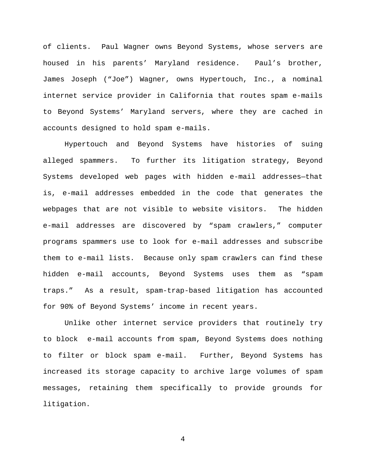of clients. Paul Wagner owns Beyond Systems, whose servers are housed in his parents' Maryland residence. Paul's brother, James Joseph ("Joe") Wagner, owns Hypertouch, Inc., a nominal internet service provider in California that routes spam e-mails to Beyond Systems' Maryland servers, where they are cached in accounts designed to hold spam e-mails.

Hypertouch and Beyond Systems have histories of suing alleged spammers. To further its litigation strategy, Beyond Systems developed web pages with hidden e-mail addresses—that is, e-mail addresses embedded in the code that generates the webpages that are not visible to website visitors. The hidden e-mail addresses are discovered by "spam crawlers," computer programs spammers use to look for e-mail addresses and subscribe them to e-mail lists. Because only spam crawlers can find these hidden e-mail accounts, Beyond Systems uses them as "spam traps." As a result, spam-trap-based litigation has accounted for 90% of Beyond Systems' income in recent years.

Unlike other internet service providers that routinely try to block e-mail accounts from spam, Beyond Systems does nothing to filter or block spam e-mail. Further, Beyond Systems has increased its storage capacity to archive large volumes of spam messages, retaining them specifically to provide grounds for litigation.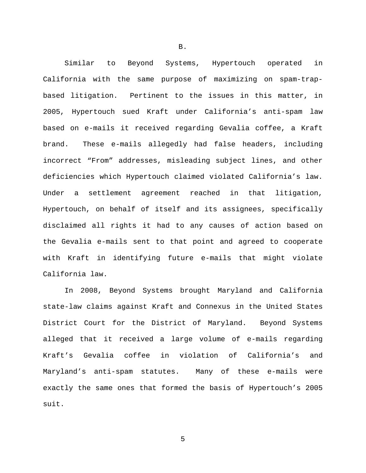Similar to Beyond Systems, Hypertouch operated in California with the same purpose of maximizing on spam-trapbased litigation. Pertinent to the issues in this matter, in 2005, Hypertouch sued Kraft under California's anti-spam law based on e-mails it received regarding Gevalia coffee, a Kraft brand. These e-mails allegedly had false headers, including incorrect "From" addresses, misleading subject lines, and other deficiencies which Hypertouch claimed violated California's law. Under a settlement agreement reached in that litigation, Hypertouch, on behalf of itself and its assignees, specifically disclaimed all rights it had to any causes of action based on the Gevalia e-mails sent to that point and agreed to cooperate with Kraft in identifying future e-mails that might violate California law.

In 2008, Beyond Systems brought Maryland and California state-law claims against Kraft and Connexus in the United States District Court for the District of Maryland. Beyond Systems alleged that it received a large volume of e-mails regarding Kraft's Gevalia coffee in violation of California's and Maryland's anti-spam statutes. Many of these e-mails were exactly the same ones that formed the basis of Hypertouch's 2005 suit.

B.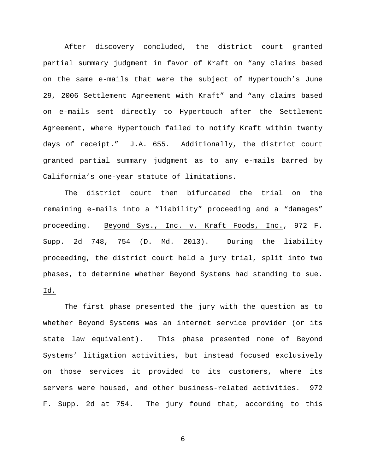After discovery concluded, the district court granted partial summary judgment in favor of Kraft on "any claims based on the same e-mails that were the subject of Hypertouch's June 29, 2006 Settlement Agreement with Kraft" and "any claims based on e-mails sent directly to Hypertouch after the Settlement Agreement, where Hypertouch failed to notify Kraft within twenty days of receipt." J.A. 655. Additionally, the district court granted partial summary judgment as to any e-mails barred by California's one-year statute of limitations.

The district court then bifurcated the trial on the remaining e-mails into a "liability" proceeding and a "damages" proceeding. Beyond Sys., Inc. v. Kraft Foods, Inc., 972 F. Supp. 2d 748, 754 (D. Md. 2013). During the liability proceeding, the district court held a jury trial, split into two phases, to determine whether Beyond Systems had standing to sue. Id.

The first phase presented the jury with the question as to whether Beyond Systems was an internet service provider (or its state law equivalent). This phase presented none of Beyond Systems' litigation activities, but instead focused exclusively on those services it provided to its customers, where its servers were housed, and other business-related activities. 972 F. Supp. 2d at 754. The jury found that, according to this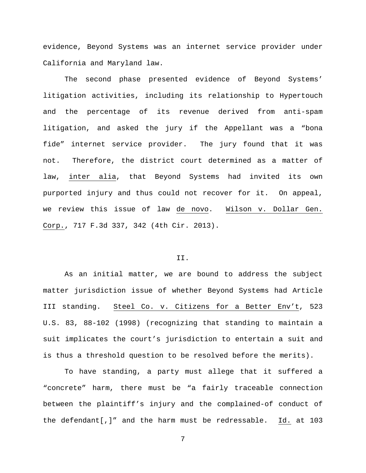evidence, Beyond Systems was an internet service provider under California and Maryland law.

The second phase presented evidence of Beyond Systems' litigation activities, including its relationship to Hypertouch and the percentage of its revenue derived from anti-spam litigation, and asked the jury if the Appellant was a "bona fide" internet service provider. The jury found that it was not. Therefore, the district court determined as a matter of law, inter alia, that Beyond Systems had invited its own purported injury and thus could not recover for it. On appeal, we review this issue of law de novo. Wilson v. Dollar Gen. Corp., 717 F.3d 337, 342 (4th Cir. 2013).

## II.

As an initial matter, we are bound to address the subject matter jurisdiction issue of whether Beyond Systems had Article III standing. Steel Co. v. Citizens for a Better Env't, 523 U.S. 83, 88-102 (1998) (recognizing that standing to maintain a suit implicates the court's jurisdiction to entertain a suit and is thus a threshold question to be resolved before the merits).

To have standing, a party must allege that it suffered a "concrete" harm, there must be "a fairly traceable connection between the plaintiff's injury and the complained-of conduct of the defendant[,]" and the harm must be redressable. Id. at 103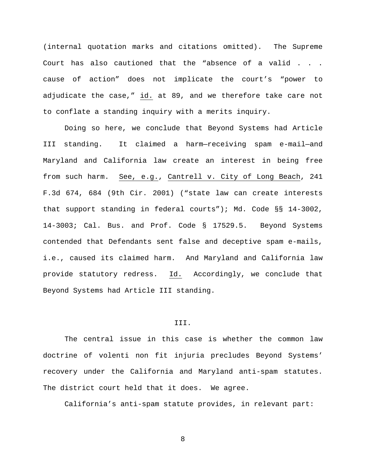(internal quotation marks and citations omitted). The Supreme Court has also cautioned that the "absence of a valid . . . cause of action" does not implicate the court's "power to adjudicate the case," id. at 89, and we therefore take care not to conflate a standing inquiry with a merits inquiry.

Doing so here, we conclude that Beyond Systems had Article III standing. It claimed a harm—receiving spam e-mail—and Maryland and California law create an interest in being free from such harm. See, e.g., Cantrell v. City of Long Beach, 241 F.3d 674, 684 (9th Cir. 2001) ("state law can create interests that support standing in federal courts"); Md. Code §§ 14-3002, 14-3003; Cal. Bus. and Prof. Code § 17529.5. Beyond Systems contended that Defendants sent false and deceptive spam e-mails, i.e., caused its claimed harm. And Maryland and California law provide statutory redress. Id. Accordingly, we conclude that Beyond Systems had Article III standing.

#### III.

The central issue in this case is whether the common law doctrine of volenti non fit injuria precludes Beyond Systems' recovery under the California and Maryland anti-spam statutes. The district court held that it does. We agree.

California's anti-spam statute provides, in relevant part: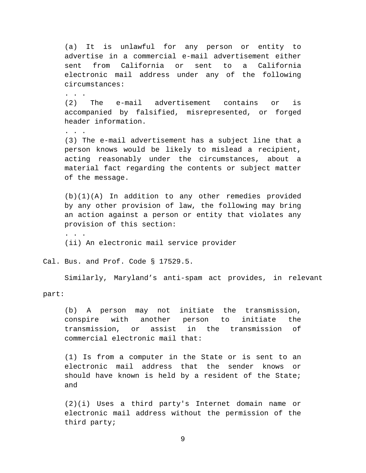(a) It is unlawful for any person or entity to advertise in a commercial e-mail advertisement either sent from California or sent to a California electronic mail address under any of the following circumstances:

. . . . . (2) The e-mail advertisement contains or is accompanied by falsified, misrepresented, or forged header information.

. . . . . (3) The e-mail advertisement has a subject line that a person knows would be likely to mislead a recipient, acting reasonably under the circumstances, about a material fact regarding the contents or subject matter of the message.

(b)(1)(A) In addition to any other remedies provided by any other provision of law, the following may bring an action against a person or entity that violates any provision of this section:

(ii) An electronic mail service provider

Cal. Bus. and Prof. Code § 17529.5.

Similarly, Maryland's anti-spam act provides, in relevant

part:

. . .

(b) A person may not initiate the transmission, conspire with another person to initiate the transmission, or assist in the transmission of commercial electronic mail that:

(1) Is from a computer in the State or is sent to an electronic mail address that the sender knows or should have known is held by a resident of the State; and

(2)(i) Uses a third party's Internet domain name or electronic mail address without the permission of the third party;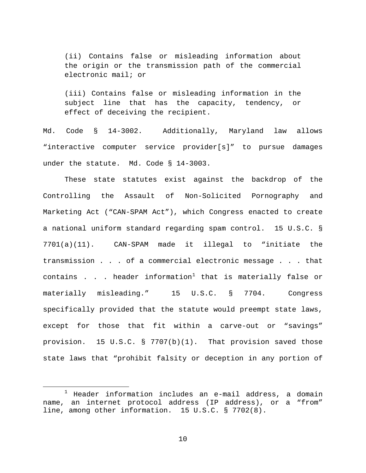(ii) Contains false or misleading information about the origin or the transmission path of the commercial electronic mail; or

(iii) Contains false or misleading information in the subject line that has the capacity, tendency, or effect of deceiving the recipient.

Md. Code § 14-3002. Additionally, Maryland law allows "interactive computer service provider[s]" to pursue damages under the statute. Md. Code § 14-3003.

These state statutes exist against the backdrop of the Controlling the Assault of Non-Solicited Pornography and Marketing Act ("CAN-SPAM Act"), which Congress enacted to create a national uniform standard regarding spam control. 15 U.S.C. § 7701(a)(11). CAN-SPAM made it illegal to "initiate the transmission . . . of a commercial electronic message . . . that contains . . . header information<sup>[1](#page-9-0)</sup> that is materially false or materially misleading." 15 U.S.C. § 7704. Congress specifically provided that the statute would preempt state laws, except for those that fit within a carve-out or "savings" provision. 15 U.S.C. § 7707(b)(1). That provision saved those state laws that "prohibit falsity or deception in any portion of

<span id="page-9-0"></span> $1$  Header information includes an e-mail address, a domain name, an internet protocol address (IP address), or a "from" line, among other information. 15 U.S.C. § 7702(8).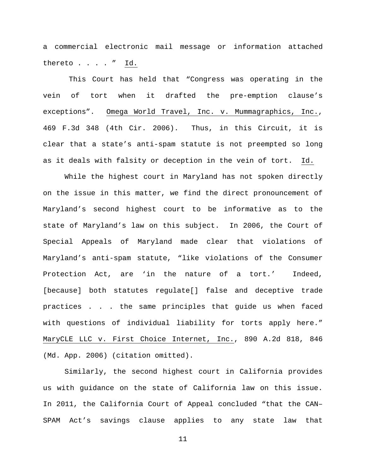a commercial electronic mail message or information attached thereto . . . . " Id.

This Court has held that "Congress was operating in the vein of tort when it drafted the pre-emption clause's exceptions". Omega World Travel, Inc. v. Mummagraphics, Inc., 469 F.3d 348 (4th Cir. 2006). Thus, in this Circuit, it is clear that a state's anti-spam statute is not preempted so long as it deals with falsity or deception in the vein of tort. Id.

While the highest court in Maryland has not spoken directly on the issue in this matter, we find the direct pronouncement of Maryland's second highest court to be informative as to the state of Maryland's law on this subject. In 2006, the Court of Special Appeals of Maryland made clear that violations of Maryland's anti-spam statute, "like violations of the Consumer Protection Act, are 'in the nature of a tort.' Indeed, [because] both statutes regulate[] false and deceptive trade practices . . . the same principles that guide us when faced with questions of individual liability for torts apply here." MaryCLE LLC v. First Choice Internet, Inc., 890 A.2d 818, 846 (Md. App. 2006) (citation omitted).

Similarly, the second highest court in California provides us with guidance on the state of California law on this issue. In 2011, the California Court of Appeal concluded "that the CAN– SPAM Act's savings clause applies to any state law that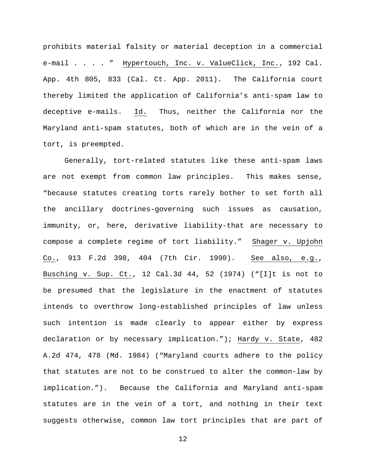prohibits material falsity or material deception in a commercial e-mail . . . . " Hypertouch, Inc. v. ValueClick, Inc., 192 Cal. App. 4th 805, 833 (Cal. Ct. App. 2011). The California court thereby limited the application of California's anti-spam law to deceptive e-mails. Id. Thus, neither the California nor the Maryland anti-spam statutes, both of which are in the vein of a tort, is preempted.

Generally, tort-related statutes like these anti-spam laws are not exempt from common law principles. This makes sense, "because statutes creating torts rarely bother to set forth all the ancillary doctrines-governing such issues as causation, immunity, or, here, derivative liability-that are necessary to compose a complete regime of tort liability." Shager v. Upjohn Co., 913 F.2d 398, 404 (7th Cir. 1990). See also, e.g., Busching v. Sup. Ct., 12 Cal.3d 44, 52 (1974) ("[I]t is not to be presumed that the legislature in the enactment of statutes intends to overthrow long-established principles of law unless such intention is made clearly to appear either by express declaration or by necessary implication."); Hardy v. State, 482 A.2d 474, 478 (Md. 1984) ("Maryland courts adhere to the policy that statutes are not to be construed to alter the common-law by implication."). Because the California and Maryland anti-spam statutes are in the vein of a tort, and nothing in their text suggests otherwise, common law tort principles that are part of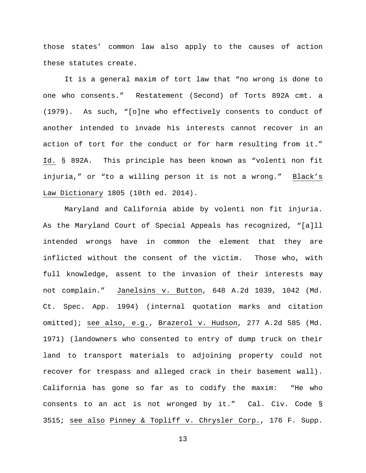those states' common law also apply to the causes of action these statutes create.

It is a general maxim of tort law that "no wrong is done to one who consents." Restatement (Second) of Torts 892A cmt. a (1979). As such, "[o]ne who effectively consents to conduct of another intended to invade his interests cannot recover in an action of tort for the conduct or for harm resulting from it." Id. § 892A. This principle has been known as "volenti non fit injuria," or "to a willing person it is not a wrong." Black's Law Dictionary 1805 (10th ed. 2014).

Maryland and California abide by volenti non fit injuria. As the Maryland Court of Special Appeals has recognized, "[a]ll intended wrongs have in common the element that they are inflicted without the consent of the victim. Those who, with full knowledge, assent to the invasion of their interests may not complain." Janelsins v. Button, 648 A.2d 1039, 1042 (Md. Ct. Spec. App. 1994) (internal quotation marks and citation omitted); see also, e.g., Brazerol v. Hudson, 277 A.2d 585 (Md. 1971) (landowners who consented to entry of dump truck on their land to transport materials to adjoining property could not recover for trespass and alleged crack in their basement wall). California has gone so far as to codify the maxim: "He who consents to an act is not wronged by it." Cal. Civ. Code § 3515; see also Pinney & Topliff v. Chrysler Corp., 176 F. Supp.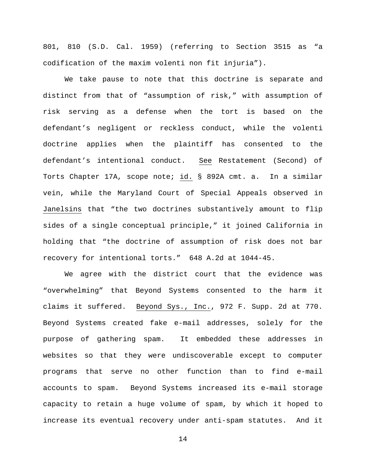801, 810 (S.D. Cal. 1959) (referring to Section 3515 as "a codification of the maxim volenti non fit injuria").

We take pause to note that this doctrine is separate and distinct from that of "assumption of risk," with assumption of risk serving as a defense when the tort is based on the defendant's negligent or reckless conduct, while the volenti doctrine applies when the plaintiff has consented to the defendant's intentional conduct. See Restatement (Second) of Torts Chapter 17A, scope note; id. § 892A cmt. a. In a similar vein, while the Maryland Court of Special Appeals observed in Janelsins that "the two doctrines substantively amount to flip sides of a single conceptual principle," it joined California in holding that "the doctrine of assumption of risk does not bar recovery for intentional torts." 648 A.2d at 1044-45.

We agree with the district court that the evidence was "overwhelming" that Beyond Systems consented to the harm it claims it suffered. Beyond Sys., Inc., 972 F. Supp. 2d at 770. Beyond Systems created fake e-mail addresses, solely for the purpose of gathering spam. It embedded these addresses in websites so that they were undiscoverable except to computer programs that serve no other function than to find e-mail accounts to spam. Beyond Systems increased its e-mail storage capacity to retain a huge volume of spam, by which it hoped to increase its eventual recovery under anti-spam statutes. And it